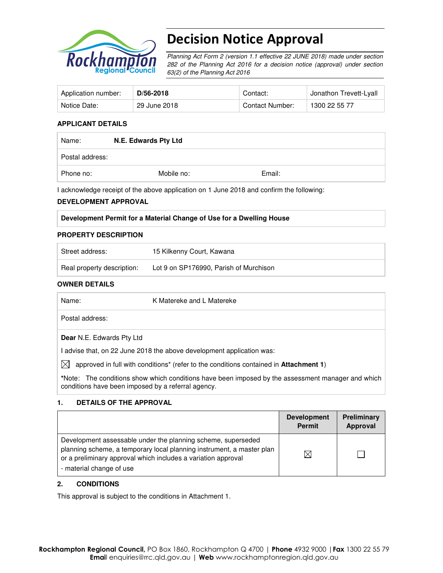

# Decision Notice Approval

Planning Act Form 2 (version 1.1 effective 22 JUNE 2018) made under section 282 of the Planning Act 2016 for a decision notice (approval) under section 63(2) of the Planning Act 2016

| Application number: | D/56-2018    | Contact:        | Jonathon Trevett-Lyall |
|---------------------|--------------|-----------------|------------------------|
| Notice Date:        | 29 June 2018 | Contact Number: | 1300 22 55 77          |

#### **APPLICANT DETAILS**

| Name:           | N.E. Edwards Pty Ltd |        |  |  |
|-----------------|----------------------|--------|--|--|
| Postal address: |                      |        |  |  |
| Phone no:       | Mobile no:           | Email: |  |  |

I acknowledge receipt of the above application on 1 June 2018 and confirm the following:

#### **DEVELOPMENT APPROVAL**

#### **Development Permit for a Material Change of Use for a Dwelling House**

#### **PROPERTY DESCRIPTION**

| Street address:            | 15 Kilkenny Court, Kawana              |
|----------------------------|----------------------------------------|
| Real property description: | Lot 9 on SP176990, Parish of Murchison |

#### **OWNER DETAILS**

| Name:                                              | K Matereke and L Matereke                                                                         |
|----------------------------------------------------|---------------------------------------------------------------------------------------------------|
| Postal address:                                    |                                                                                                   |
| <b>Dear</b> N.E. Edwards Pty Ltd                   |                                                                                                   |
|                                                    | I advise that, on 22 June 2018 the above development application was:                             |
| IXI                                                | approved in full with conditions* (refer to the conditions contained in Attachment 1)             |
| conditions have been imposed by a referral agency. | *Note: The conditions show which conditions have been imposed by the assessment manager and which |

#### **1. DETAILS OF THE APPROVAL**

|                                                                                                                                                                                                                                    | <b>Development</b><br><b>Permit</b> | <b>Preliminary</b><br>Approval |
|------------------------------------------------------------------------------------------------------------------------------------------------------------------------------------------------------------------------------------|-------------------------------------|--------------------------------|
| Development assessable under the planning scheme, superseded<br>planning scheme, a temporary local planning instrument, a master plan<br>or a preliminary approval which includes a variation approval<br>- material change of use | $\times$                            |                                |

#### **2. CONDITIONS**

This approval is subject to the conditions in Attachment 1.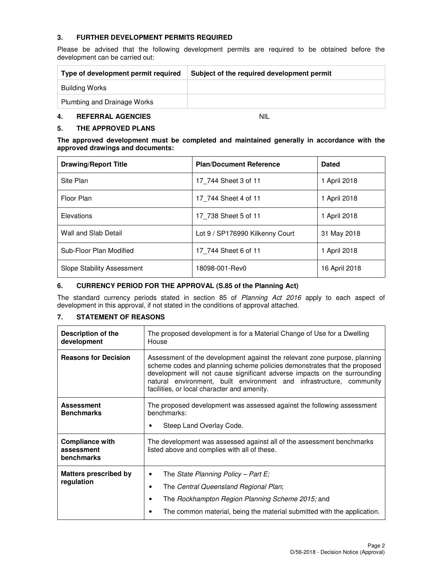## **3. FURTHER DEVELOPMENT PERMITS REQUIRED**

Please be advised that the following development permits are required to be obtained before the development can be carried out:

| Type of development permit required | Subject of the required development permit |  |  |
|-------------------------------------|--------------------------------------------|--|--|
| Building Works                      |                                            |  |  |
| Plumbing and Drainage Works         |                                            |  |  |

## **4. REFERRAL AGENCIES** NIL

#### **5. THE APPROVED PLANS**

| The approved development must be completed and maintained generally in accordance with the |  |  |  |  |  |
|--------------------------------------------------------------------------------------------|--|--|--|--|--|
| approved drawings and documents:                                                           |  |  |  |  |  |

| <b>Drawing/Report Title</b>       | <b>Plan/Document Reference</b>  | <b>Dated</b>  |
|-----------------------------------|---------------------------------|---------------|
| Site Plan                         | 17 744 Sheet 3 of 11            | 1 April 2018  |
| Floor Plan                        | 17 744 Sheet 4 of 11            | 1 April 2018  |
| Elevations                        | 17 738 Sheet 5 of 11            | 1 April 2018  |
| Wall and Slab Detail              | Lot 9 / SP176990 Kilkenny Court | 31 May 2018   |
| Sub-Floor Plan Modified           | 17 744 Sheet 6 of 11            | 1 April 2018  |
| <b>Slope Stability Assessment</b> | 18098-001-Rev0                  | 16 April 2018 |

#### **6. CURRENCY PERIOD FOR THE APPROVAL (S.85 of the Planning Act)**

The standard currency periods stated in section 85 of Planning Act 2016 apply to each aspect of development in this approval, if not stated in the conditions of approval attached.

#### **7. STATEMENT OF REASONS**

| Description of the<br>development                  | The proposed development is for a Material Change of Use for a Dwelling<br>House                                                                                                                                                                                                                                                                          |  |  |  |
|----------------------------------------------------|-----------------------------------------------------------------------------------------------------------------------------------------------------------------------------------------------------------------------------------------------------------------------------------------------------------------------------------------------------------|--|--|--|
| <b>Reasons for Decision</b>                        | Assessment of the development against the relevant zone purpose, planning<br>scheme codes and planning scheme policies demonstrates that the proposed<br>development will not cause significant adverse impacts on the surrounding<br>natural environment, built environment and infrastructure, community<br>facilities, or local character and amenity. |  |  |  |
| <b>Assessment</b><br><b>Benchmarks</b>             | The proposed development was assessed against the following assessment<br>benchmarks:<br>Steep Land Overlay Code.<br>٠                                                                                                                                                                                                                                    |  |  |  |
| <b>Compliance with</b><br>assessment<br>benchmarks | The development was assessed against all of the assessment benchmarks<br>listed above and complies with all of these.                                                                                                                                                                                                                                     |  |  |  |
| <b>Matters prescribed by</b><br>regulation         | The State Planning Policy – Part E;<br>٠<br>The Central Queensland Regional Plan;<br>٠<br>The Rockhampton Region Planning Scheme 2015; and<br>٠<br>The common material, being the material submitted with the application.                                                                                                                                |  |  |  |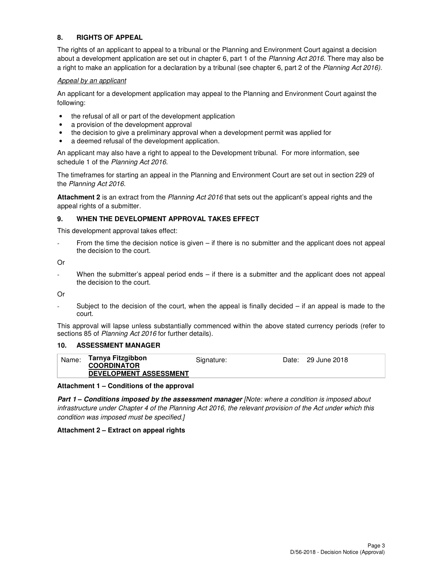### **8. RIGHTS OF APPEAL**

The rights of an applicant to appeal to a tribunal or the Planning and Environment Court against a decision about a development application are set out in chapter 6, part 1 of the Planning Act 2016. There may also be a right to make an application for a declaration by a tribunal (see chapter 6, part 2 of the Planning Act 2016).

#### Appeal by an applicant

An applicant for a development application may appeal to the Planning and Environment Court against the following:

- the refusal of all or part of the development application
- a provision of the development approval
- the decision to give a preliminary approval when a development permit was applied for
- a deemed refusal of the development application.

An applicant may also have a right to appeal to the Development tribunal. For more information, see schedule 1 of the Planning Act 2016.

The timeframes for starting an appeal in the Planning and Environment Court are set out in section 229 of the Planning Act 2016.

**Attachment 2** is an extract from the Planning Act 2016 that sets out the applicant's appeal rights and the appeal rights of a submitter.

#### **9. WHEN THE DEVELOPMENT APPROVAL TAKES EFFECT**

This development approval takes effect:

From the time the decision notice is given  $-$  if there is no submitter and the applicant does not appeal the decision to the court.

Or

When the submitter's appeal period ends  $-$  if there is a submitter and the applicant does not appeal the decision to the court.

Or

Subject to the decision of the court, when the appeal is finally decided  $-$  if an appeal is made to the court.

This approval will lapse unless substantially commenced within the above stated currency periods (refer to sections 85 of Planning Act 2016 for further details).

#### **10. ASSESSMENT MANAGER**

| Tarnya Fitzgibbon<br>Name:<br>Date: 29 June 2018<br>Signature:<br><b>COORDINATOR</b><br><b>DEVELOPMENT ASSESSMENT</b> |  |
|-----------------------------------------------------------------------------------------------------------------------|--|
|-----------------------------------------------------------------------------------------------------------------------|--|

**Attachment 1 – Conditions of the approval** 

**Part 1 – Conditions imposed by the assessment manager [Note: where a condition is imposed about** infrastructure under Chapter 4 of the Planning Act 2016, the relevant provision of the Act under which this condition was imposed must be specified.]

#### **Attachment 2 – Extract on appeal rights**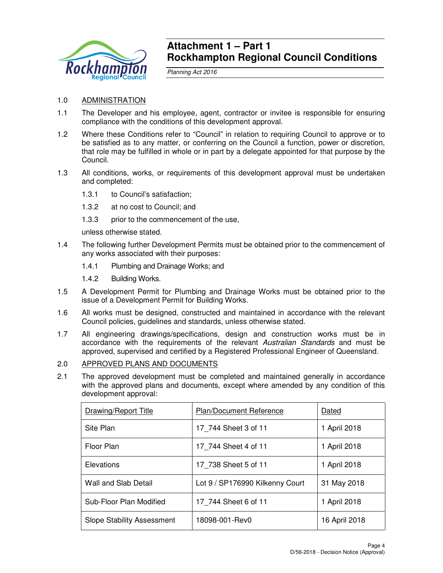

## **Attachment 1 – Part 1 Rockhampton Regional Council Conditions**

Planning Act 2016

## 1.0 ADMINISTRATION

- 1.1 The Developer and his employee, agent, contractor or invitee is responsible for ensuring compliance with the conditions of this development approval.
- 1.2 Where these Conditions refer to "Council" in relation to requiring Council to approve or to be satisfied as to any matter, or conferring on the Council a function, power or discretion, that role may be fulfilled in whole or in part by a delegate appointed for that purpose by the Council.
- 1.3 All conditions, works, or requirements of this development approval must be undertaken and completed:
	- 1.3.1 to Council's satisfaction;
	- 1.3.2 at no cost to Council; and
	- 1.3.3 prior to the commencement of the use,

unless otherwise stated.

- 1.4 The following further Development Permits must be obtained prior to the commencement of any works associated with their purposes:
	- 1.4.1 Plumbing and Drainage Works; and
	- 1.4.2 Building Works.
- 1.5 A Development Permit for Plumbing and Drainage Works must be obtained prior to the issue of a Development Permit for Building Works.
- 1.6 All works must be designed, constructed and maintained in accordance with the relevant Council policies, guidelines and standards, unless otherwise stated.
- 1.7 All engineering drawings/specifications, design and construction works must be in accordance with the requirements of the relevant Australian Standards and must be approved, supervised and certified by a Registered Professional Engineer of Queensland.

## 2.0 APPROVED PLANS AND DOCUMENTS

2.1 The approved development must be completed and maintained generally in accordance with the approved plans and documents, except where amended by any condition of this development approval:

| Drawing/Report Title              | <b>Plan/Document Reference</b>  | Dated         |
|-----------------------------------|---------------------------------|---------------|
| Site Plan                         | 17 744 Sheet 3 of 11            | April 2018    |
| Floor Plan                        | 17 744 Sheet 4 of 11            | April 2018    |
| Elevations                        | 17 738 Sheet 5 of 11            | April 2018    |
| Wall and Slab Detail              | Lot 9 / SP176990 Kilkenny Court | 31 May 2018   |
| Sub-Floor Plan Modified           | 17 744 Sheet 6 of 11            | April 2018    |
| <b>Slope Stability Assessment</b> | 18098-001-Rev0                  | 16 April 2018 |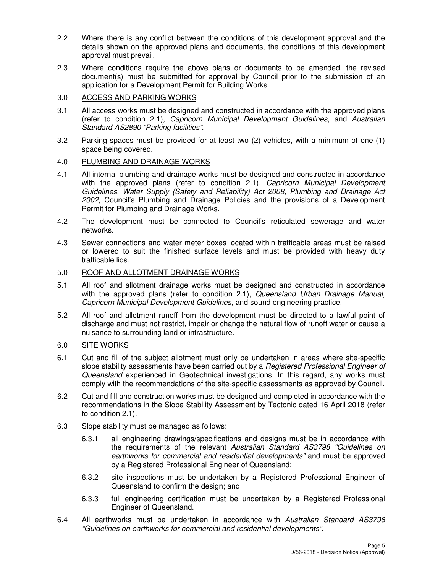- 2.2 Where there is any conflict between the conditions of this development approval and the details shown on the approved plans and documents, the conditions of this development approval must prevail.
- 2.3 Where conditions require the above plans or documents to be amended, the revised document(s) must be submitted for approval by Council prior to the submission of an application for a Development Permit for Building Works.

## 3.0 ACCESS AND PARKING WORKS

- 3.1 All access works must be designed and constructed in accordance with the approved plans (refer to condition 2.1), Capricorn Municipal Development Guidelines, and Australian Standard AS2890 "Parking facilities".
- 3.2 Parking spaces must be provided for at least two (2) vehicles, with a minimum of one (1) space being covered.

## 4.0 PLUMBING AND DRAINAGE WORKS

- 4.1 All internal plumbing and drainage works must be designed and constructed in accordance with the approved plans (refer to condition 2.1), Capricorn Municipal Development Guidelines, Water Supply (Safety and Reliability) Act 2008, Plumbing and Drainage Act 2002, Council's Plumbing and Drainage Policies and the provisions of a Development Permit for Plumbing and Drainage Works.
- 4.2 The development must be connected to Council's reticulated sewerage and water networks.
- 4.3 Sewer connections and water meter boxes located within trafficable areas must be raised or lowered to suit the finished surface levels and must be provided with heavy duty trafficable lids.

## 5.0 ROOF AND ALLOTMENT DRAINAGE WORKS

- 5.1 All roof and allotment drainage works must be designed and constructed in accordance with the approved plans (refer to condition 2.1), Queensland Urban Drainage Manual, Capricorn Municipal Development Guidelines, and sound engineering practice.
- 5.2 All roof and allotment runoff from the development must be directed to a lawful point of discharge and must not restrict, impair or change the natural flow of runoff water or cause a nuisance to surrounding land or infrastructure.

## 6.0 SITE WORKS

- 6.1 Cut and fill of the subject allotment must only be undertaken in areas where site-specific slope stability assessments have been carried out by a *Registered Professional Engineer of* Queensland experienced in Geotechnical investigations. In this regard, any works must comply with the recommendations of the site-specific assessments as approved by Council.
- 6.2 Cut and fill and construction works must be designed and completed in accordance with the recommendations in the Slope Stability Assessment by Tectonic dated 16 April 2018 (refer to condition 2.1).
- 6.3 Slope stability must be managed as follows:
	- 6.3.1 all engineering drawings/specifications and designs must be in accordance with the requirements of the relevant Australian Standard AS3798 "Guidelines on earthworks for commercial and residential developments" and must be approved by a Registered Professional Engineer of Queensland;
	- 6.3.2 site inspections must be undertaken by a Registered Professional Engineer of Queensland to confirm the design; and
	- 6.3.3 full engineering certification must be undertaken by a Registered Professional Engineer of Queensland.
- 6.4 All earthworks must be undertaken in accordance with Australian Standard AS3798 "Guidelines on earthworks for commercial and residential developments".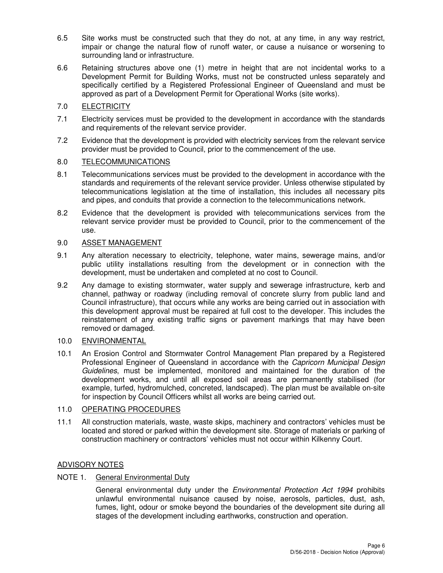- 6.5 Site works must be constructed such that they do not, at any time, in any way restrict, impair or change the natural flow of runoff water, or cause a nuisance or worsening to surrounding land or infrastructure.
- 6.6 Retaining structures above one (1) metre in height that are not incidental works to a Development Permit for Building Works, must not be constructed unless separately and specifically certified by a Registered Professional Engineer of Queensland and must be approved as part of a Development Permit for Operational Works (site works).

## 7.0 ELECTRICITY

- 7.1 Electricity services must be provided to the development in accordance with the standards and requirements of the relevant service provider.
- 7.2 Evidence that the development is provided with electricity services from the relevant service provider must be provided to Council, prior to the commencement of the use.

### 8.0 TELECOMMUNICATIONS

- 8.1 Telecommunications services must be provided to the development in accordance with the standards and requirements of the relevant service provider. Unless otherwise stipulated by telecommunications legislation at the time of installation, this includes all necessary pits and pipes, and conduits that provide a connection to the telecommunications network.
- 8.2 Evidence that the development is provided with telecommunications services from the relevant service provider must be provided to Council, prior to the commencement of the use.

## 9.0 ASSET MANAGEMENT

- 9.1 Any alteration necessary to electricity, telephone, water mains, sewerage mains, and/or public utility installations resulting from the development or in connection with the development, must be undertaken and completed at no cost to Council.
- 9.2 Any damage to existing stormwater, water supply and sewerage infrastructure, kerb and channel, pathway or roadway (including removal of concrete slurry from public land and Council infrastructure), that occurs while any works are being carried out in association with this development approval must be repaired at full cost to the developer. This includes the reinstatement of any existing traffic signs or pavement markings that may have been removed or damaged.

## 10.0 ENVIRONMENTAL

10.1 An Erosion Control and Stormwater Control Management Plan prepared by a Registered Professional Engineer of Queensland in accordance with the Capricorn Municipal Design Guidelines, must be implemented, monitored and maintained for the duration of the development works, and until all exposed soil areas are permanently stabilised (for example, turfed, hydromulched, concreted, landscaped). The plan must be available on-site for inspection by Council Officers whilst all works are being carried out.

## 11.0 OPERATING PROCEDURES

11.1 All construction materials, waste, waste skips, machinery and contractors' vehicles must be located and stored or parked within the development site. Storage of materials or parking of construction machinery or contractors' vehicles must not occur within Kilkenny Court.

## ADVISORY NOTES

## NOTE 1. General Environmental Duty

General environmental duty under the *Environmental Protection Act 1994* prohibits unlawful environmental nuisance caused by noise, aerosols, particles, dust, ash, fumes, light, odour or smoke beyond the boundaries of the development site during all stages of the development including earthworks, construction and operation.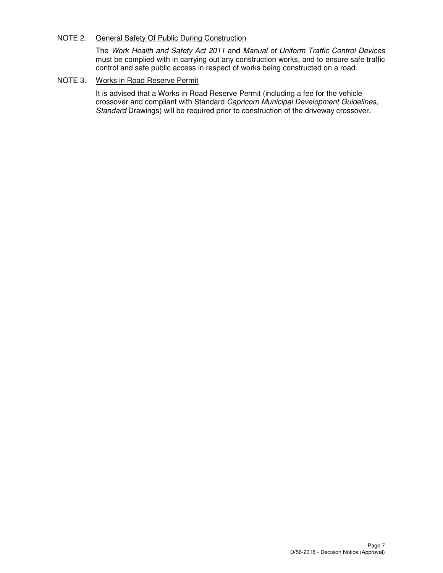## NOTE 2. General Safety Of Public During Construction

The Work Health and Safety Act 2011 and Manual of Uniform Traffic Control Devices must be complied with in carrying out any construction works, and to ensure safe traffic control and safe public access in respect of works being constructed on a road.

## NOTE 3. Works in Road Reserve Permit

It is advised that a Works in Road Reserve Permit (including a fee for the vehicle crossover and compliant with Standard Capricorn Municipal Development Guidelines, Standard Drawings) will be required prior to construction of the driveway crossover.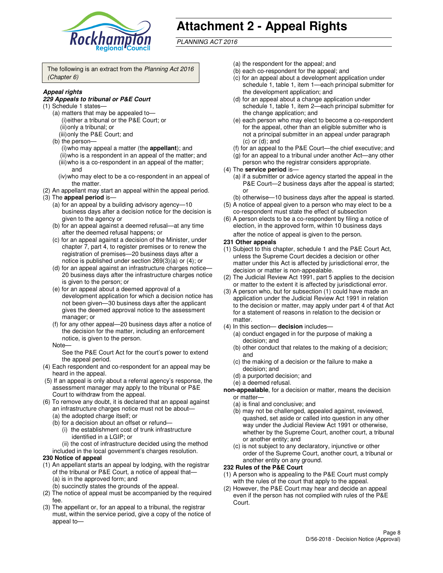

# **Attachment 2 - Appeal Rights**

PLANNING ACT 2016

The following is an extract from the Planning Act 2016 (Chapter 6)

#### **Appeal rights**

#### **229 Appeals to tribunal or P&E Court**

- (1) Schedule 1 states—
	- (a) matters that may be appealed to— (i) either a tribunal or the P&E Court; or (ii) only a tribunal; or (iii) only the P&E Court; and
	- (b) the person—
		- (i) who may appeal a matter (the **appellant**); and
		- (ii) who is a respondent in an appeal of the matter; and (iii) who is a co-respondent in an appeal of the matter;
		- and
		- (iv) who may elect to be a co-respondent in an appeal of the matter.
- (2) An appellant may start an appeal within the appeal period.
- (3) The **appeal period** is—
	- (a) for an appeal by a building advisory agency—10 business days after a decision notice for the decision is given to the agency or
	- (b) for an appeal against a deemed refusal—at any time after the deemed refusal happens; or
	- (c) for an appeal against a decision of the Minister, under chapter 7, part 4, to register premises or to renew the registration of premises—20 business days after a notice is published under section 269(3)(a) or (4); or
	- (d) for an appeal against an infrastructure charges notice— 20 business days after the infrastructure charges notice is given to the person; or
	- (e) for an appeal about a deemed approval of a development application for which a decision notice has not been given—30 business days after the applicant gives the deemed approval notice to the assessment manager; or
	- (f) for any other appeal—20 business days after a notice of the decision for the matter, including an enforcement notice, is given to the person.
	- Note—

See the P&E Court Act for the court's power to extend the appeal period.

- (4) Each respondent and co-respondent for an appeal may be heard in the appeal.
- (5) If an appeal is only about a referral agency's response, the assessment manager may apply to the tribunal or P&E Court to withdraw from the appeal.
- (6) To remove any doubt, it is declared that an appeal against an infrastructure charges notice must not be about—
	- (a) the adopted charge itself; or
	- (b) for a decision about an offset or refund—
		- (i) the establishment cost of trunk infrastructure identified in a LGIP; or

(ii) the cost of infrastructure decided using the method

- included in the local government's charges resolution. **230 Notice of appeal**
- (1) An appellant starts an appeal by lodging, with the registrar
- of the tribunal or P&E Court, a notice of appeal that— (a) is in the approved form; and
	- (b) succinctly states the grounds of the appeal.
- (2) The notice of appeal must be accompanied by the required fee.
- (3) The appellant or, for an appeal to a tribunal, the registrar must, within the service period, give a copy of the notice of appeal to—
- (a) the respondent for the appeal; and
- (b) each co-respondent for the appeal; and
- (c) for an appeal about a development application under schedule 1, table 1, item 1—each principal submitter for the development application; and
- (d) for an appeal about a change application under schedule 1, table 1, item 2—each principal submitter for the change application; and
- (e) each person who may elect to become a co-respondent for the appeal, other than an eligible submitter who is not a principal submitter in an appeal under paragraph  $(c)$  or  $(d)$ ; and
- (f) for an appeal to the P&E Court—the chief executive; and
- (g) for an appeal to a tribunal under another Act—any other person who the registrar considers appropriate.
- (4) The **service period** is—
	- (a) if a submitter or advice agency started the appeal in the P&E Court—2 business days after the appeal is started; or
	- (b) otherwise—10 business days after the appeal is started.
- (5) A notice of appeal given to a person who may elect to be a co-respondent must state the effect of subsection
- (6) A person elects to be a co-respondent by filing a notice of election, in the approved form, within 10 business days after the notice of appeal is given to the person*.*
- **231 Other appeals**
- (1) Subject to this chapter, schedule 1 and the P&E Court Act, unless the Supreme Court decides a decision or other matter under this Act is affected by jurisdictional error, the decision or matter is non-appealable.
- (2) The Judicial Review Act 1991, part 5 applies to the decision or matter to the extent it is affected by jurisdictional error.
- (3) A person who, but for subsection (1) could have made an application under the Judicial Review Act 1991 in relation to the decision or matter, may apply under part 4 of that Act for a statement of reasons in relation to the decision or matter.
- (4) In this section— **decision** includes—
	- (a) conduct engaged in for the purpose of making a decision; and
	- (b) other conduct that relates to the making of a decision; and
	- (c) the making of a decision or the failure to make a decision; and
	- (d) a purported decision; and
	- (e) a deemed refusal.

**non-appealable**, for a decision or matter, means the decision or matter—

- (a) is final and conclusive; and
- (b) may not be challenged, appealed against, reviewed, quashed, set aside or called into question in any other way under the Judicial Review Act 1991 or otherwise, whether by the Supreme Court, another court, a tribunal or another entity; and
- (c) is not subject to any declaratory, injunctive or other order of the Supreme Court, another court, a tribunal or another entity on any ground.

#### **232 Rules of the P&E Court**

- (1) A person who is appealing to the P&E Court must comply with the rules of the court that apply to the appeal.
- (2) However, the P&E Court may hear and decide an appeal even if the person has not complied with rules of the P&E Court.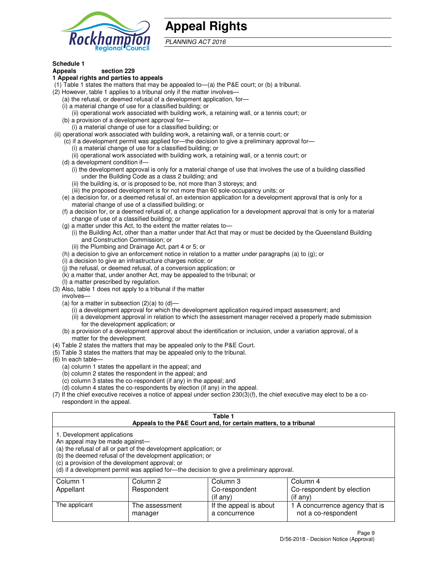

## **Appeal Rights**

PLANNING ACT 2016

## **Schedule 1**

## **Appeals section 229**

#### **1 Appeal rights and parties to appeals**

- (1) Table 1 states the matters that may be appealed to—(a) the P&E court; or (b) a tribunal.
- (2) However, table 1 applies to a tribunal only if the matter involves—
	- (a) the refusal, or deemed refusal of a development application, for—
	- (i) a material change of use for a classified building; or
	- (ii) operational work associated with building work, a retaining wall, or a tennis court; or
	- (b) a provision of a development approval for—
	- (i) a material change of use for a classified building; or
- (ii) operational work associated with building work, a retaining wall, or a tennis court; or
	- (c) if a development permit was applied for—the decision to give a preliminary approval for—
		- (i) a material change of use for a classified building; or
		- (ii) operational work associated with building work, a retaining wall, or a tennis court; or
	- (d) a development condition if—
		- (i) the development approval is only for a material change of use that involves the use of a building classified under the Building Code as a class 2 building; and
		- (ii) the building is, or is proposed to be, not more than 3 storeys; and
		- (iii) the proposed development is for not more than 60 sole-occupancy units; or
	- (e) a decision for, or a deemed refusal of, an extension application for a development approval that is only for a material change of use of a classified building; or
	- (f) a decision for, or a deemed refusal of, a change application for a development approval that is only for a material change of use of a classified building; or
	- (g) a matter under this Act, to the extent the matter relates to—
		- (i) the Building Act, other than a matter under that Act that may or must be decided by the Queensland Building and Construction Commission; or
		- (ii) the Plumbing and Drainage Act, part 4 or 5; or
	- (h) a decision to give an enforcement notice in relation to a matter under paragraphs (a) to (g); or
	- (i) a decision to give an infrastructure charges notice; or
	- (j) the refusal, or deemed refusal, of a conversion application; or
	- (k) a matter that, under another Act, may be appealed to the tribunal; or
	- (l) a matter prescribed by regulation.
- (3) Also, table 1 does not apply to a tribunal if the matter
	- involves—
	- (a) for a matter in subsection  $(2)(a)$  to  $(d)$ 
		- (i) a development approval for which the development application required impact assessment; and
		- (ii) a development approval in relation to which the assessment manager received a properly made submission for the development application; or
	- (b) a provision of a development approval about the identification or inclusion, under a variation approval, of a matter for the development.
- (4) Table 2 states the matters that may be appealed only to the P&E Court.
- (5) Table 3 states the matters that may be appealed only to the tribunal.
- (6) In each table—
	- (a) column 1 states the appellant in the appeal; and
	- (b) column 2 states the respondent in the appeal; and
	- (c) column 3 states the co-respondent (if any) in the appeal; and
	- (d) column 4 states the co-respondents by election (if any) in the appeal.
- $(7)$  If the chief executive receives a notice of appeal under section  $230(3)(f)$ , the chief executive may elect to be a corespondent in the appeal.

| Table 1<br>Appeals to the P&E Court and, for certain matters, to a tribunal                                      |                                                                                                                                |                                                                                          |                                                       |  |  |  |  |
|------------------------------------------------------------------------------------------------------------------|--------------------------------------------------------------------------------------------------------------------------------|------------------------------------------------------------------------------------------|-------------------------------------------------------|--|--|--|--|
| 1. Development applications<br>An appeal may be made against-<br>(c) a provision of the development approval; or | (a) the refusal of all or part of the development application; or<br>(b) the deemed refusal of the development application; or | (d) if a development permit was applied for—the decision to give a preliminary approval. |                                                       |  |  |  |  |
| Column 1                                                                                                         | Column 2                                                                                                                       | Column 3                                                                                 | Column 4                                              |  |  |  |  |
| Appellant                                                                                                        | Respondent<br>Co-respondent<br>Co-respondent by election                                                                       |                                                                                          |                                                       |  |  |  |  |
| (if any)<br>$($ if any $)$                                                                                       |                                                                                                                                |                                                                                          |                                                       |  |  |  |  |
| The applicant                                                                                                    | The assessment<br>manager                                                                                                      | If the appeal is about<br>a concurrence                                                  | 1 A concurrence agency that is<br>not a co-respondent |  |  |  |  |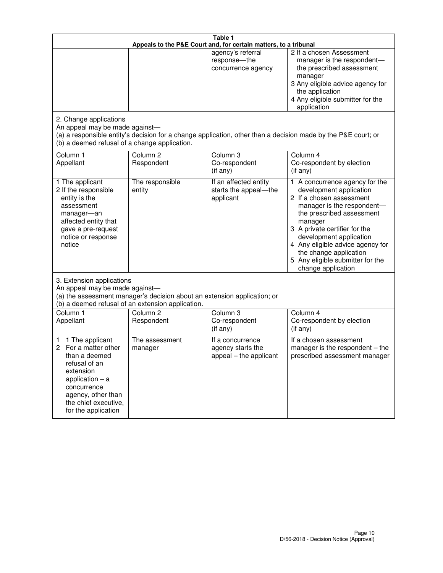| Table 1<br>Appeals to the P&E Court and, for certain matters, to a tribunal                                                                                                                             |                                                                                                                                                                                              |                                                                 |                                                                                                                                                                                                                                                                                                                                                 |  |
|---------------------------------------------------------------------------------------------------------------------------------------------------------------------------------------------------------|----------------------------------------------------------------------------------------------------------------------------------------------------------------------------------------------|-----------------------------------------------------------------|-------------------------------------------------------------------------------------------------------------------------------------------------------------------------------------------------------------------------------------------------------------------------------------------------------------------------------------------------|--|
|                                                                                                                                                                                                         |                                                                                                                                                                                              | agency's referral<br>response-the<br>concurrence agency         | 2 If a chosen Assessment<br>manager is the respondent-<br>the prescribed assessment<br>manager<br>3 Any eligible advice agency for<br>the application<br>4 Any eligible submitter for the<br>application                                                                                                                                        |  |
| 2. Change applications<br>An appeal may be made against-<br>(b) a deemed refusal of a change application.                                                                                               |                                                                                                                                                                                              |                                                                 | (a) a responsible entity's decision for a change application, other than a decision made by the P&E court; or                                                                                                                                                                                                                                   |  |
| Column 1<br>Appellant                                                                                                                                                                                   | Column <sub>2</sub><br>Respondent                                                                                                                                                            | Column <sub>3</sub><br>Co-respondent<br>(if any)                | Column 4<br>Co-respondent by election<br>(if any)                                                                                                                                                                                                                                                                                               |  |
| 1 The applicant<br>2 If the responsible<br>entity is the<br>assessment<br>manager-an<br>affected entity that<br>gave a pre-request<br>notice or response<br>notice                                      | The responsible<br>entity                                                                                                                                                                    | If an affected entity<br>starts the appeal-the<br>applicant     | 1 A concurrence agency for the<br>development application<br>2 If a chosen assessment<br>manager is the respondent-<br>the prescribed assessment<br>manager<br>3 A private certifier for the<br>development application<br>4 Any eligible advice agency for<br>the change application<br>5 Any eligible submitter for the<br>change application |  |
|                                                                                                                                                                                                         | 3. Extension applications<br>An appeal may be made against-<br>(a) the assessment manager's decision about an extension application; or<br>(b) a deemed refusal of an extension application. |                                                                 |                                                                                                                                                                                                                                                                                                                                                 |  |
| Column 1<br>Appellant                                                                                                                                                                                   | Column <sub>2</sub><br>Respondent                                                                                                                                                            | Column 3<br>Co-respondent<br>(if any)                           | Column 4<br>Co-respondent by election<br>(if any)                                                                                                                                                                                                                                                                                               |  |
| 1 The applicant<br>1<br>For a matter other<br>2<br>than a deemed<br>refusal of an<br>extension<br>application $-$ a<br>concurrence<br>agency, other than<br>the chief executive,<br>for the application | The assessment<br>manager                                                                                                                                                                    | If a concurrence<br>agency starts the<br>appeal - the applicant | If a chosen assessment<br>manager is the respondent $-$ the<br>prescribed assessment manager                                                                                                                                                                                                                                                    |  |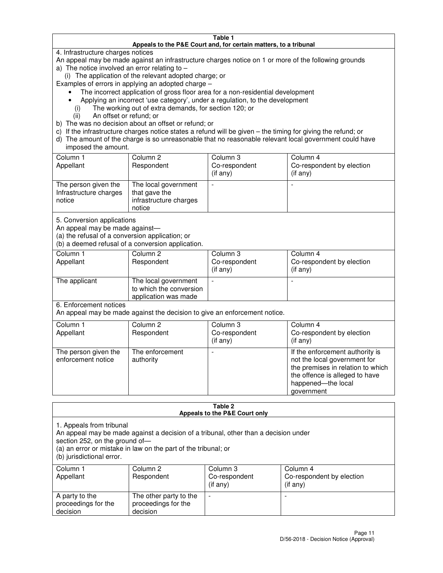#### **Table 1 Appeals to the P&E Court and, for certain matters, to a tribunal**

4. Infrastructure charges notices

An appeal may be made against an infrastructure charges notice on 1 or more of the following grounds

- a) The notice involved an error relating to
	- (i) The application of the relevant adopted charge; or

Examples of errors in applying an adopted charge –

- The incorrect application of gross floor area for a non-residential development
- Applying an incorrect 'use category', under a regulation, to the development
	- (i) The working out of extra demands, for section 120; or
	- (ii) An offset or refund; or
- b) The was no decision about an offset or refund; or
- c) If the infrastructure charges notice states a refund will be given the timing for giving the refund; or
- d) The amount of the charge is so unreasonable that no reasonable relevant local government could have imposed the amount.

| Column 1<br>Appellant                                    | Column 2<br>Respondent                                                    | Column 3<br>Co-respondent<br>$($ if any $)$ | Column 4<br>Co-respondent by election<br>$($ if any $)$ |
|----------------------------------------------------------|---------------------------------------------------------------------------|---------------------------------------------|---------------------------------------------------------|
| The person given the<br>Infrastructure charges<br>notice | The local government<br>that gave the<br>infrastructure charges<br>notice |                                             |                                                         |

5. Conversion applications

An appeal may be made against—

(a) the refusal of a conversion application; or

(b) a deemed refusal of a conversion application.

| Column 1<br>Appellant | Column 2<br>Respondent                                                  | Column 3<br>Co-respondent<br>$($ if any $)$ | Column 4<br>Co-respondent by election<br>$($ if any $)$ |  |  |
|-----------------------|-------------------------------------------------------------------------|---------------------------------------------|---------------------------------------------------------|--|--|
| The applicant         | The local government<br>to which the conversion<br>application was made |                                             |                                                         |  |  |

6. Enforcement notices

An appeal may be made against the decision to give an enforcement notice.

| Column 1<br>Appellant                      | Column 2<br>Respondent       | Column 3<br>Co-respondent<br>$($ if any $)$ | Column 4<br>Co-respondent by election<br>(if any)                                                                                                                          |
|--------------------------------------------|------------------------------|---------------------------------------------|----------------------------------------------------------------------------------------------------------------------------------------------------------------------------|
| The person given the<br>enforcement notice | The enforcement<br>authority |                                             | If the enforcement authority is<br>not the local government for<br>the premises in relation to which<br>the offence is alleged to have<br>happened-the local<br>government |

#### **Table 2 Appeals to the P&E Court only**

1. Appeals from tribunal

An appeal may be made against a decision of a tribunal, other than a decision under

section 252, on the ground of—

(a) an error or mistake in law on the part of the tribunal; or

(b) jurisdictional error.

| Column 1<br>Appellant                             | Column 2<br>Respondent                                    | Column 3<br>Co-respondent<br>$($ if any $)$ | Column 4<br>Co-respondent by election<br>(i f any) |
|---------------------------------------------------|-----------------------------------------------------------|---------------------------------------------|----------------------------------------------------|
| A party to the<br>proceedings for the<br>decision | The other party to the<br>proceedings for the<br>decision | -                                           |                                                    |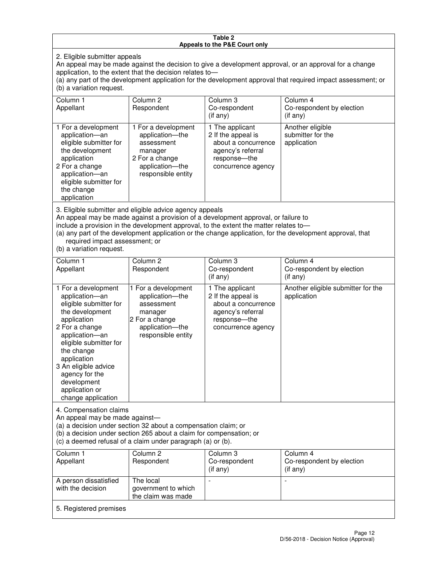#### **Table 2 Appeals to the P&E Court only**

2. Eligible submitter appeals

An appeal may be made against the decision to give a development approval, or an approval for a change application, to the extent that the decision relates to application, to the extent that the decision relates to—

(a) any part of the development application for the development approval that required impact assessment; or (b) a variation request.

| Column 1<br>Appellant                                                                                                                                                                                                                                                                                                                                                                                              | Column 2<br>Respondent                                                                                                     | Column 3<br>Co-respondent<br>(if any)                                                                                   | Column 4<br>Co-respondent by election<br>(if any)    |
|--------------------------------------------------------------------------------------------------------------------------------------------------------------------------------------------------------------------------------------------------------------------------------------------------------------------------------------------------------------------------------------------------------------------|----------------------------------------------------------------------------------------------------------------------------|-------------------------------------------------------------------------------------------------------------------------|------------------------------------------------------|
| 1 For a development<br>application-an<br>eligible submitter for<br>the development<br>application<br>2 For a change<br>application-an<br>eligible submitter for<br>the change<br>application                                                                                                                                                                                                                       | 1 For a development<br>application-the<br>assessment<br>manager<br>2 For a change<br>application-the<br>responsible entity | 1 The applicant<br>2 If the appeal is<br>about a concurrence<br>agency's referral<br>response-the<br>concurrence agency | Another eligible<br>submitter for the<br>application |
| 3. Eligible submitter and eligible advice agency appeals<br>An appeal may be made against a provision of a development approval, or failure to<br>include a provision in the development approval, to the extent the matter relates to-<br>(a) any part of the development application or the change application, for the development approval, that<br>required impact assessment; or<br>(b) a variation request. |                                                                                                                            |                                                                                                                         |                                                      |
| Column 1<br>Appellant                                                                                                                                                                                                                                                                                                                                                                                              | Column <sub>2</sub><br>Respondent                                                                                          | Column 3<br>Co-respondent                                                                                               | Column 4<br>Co-respondent by election                |
|                                                                                                                                                                                                                                                                                                                                                                                                                    |                                                                                                                            |                                                                                                                         |                                                      |

| Appellant                                                                                                                                                                                                                                                                                     | Respondent                                                                                                                                                                                           | Co-respondent<br>(i f any)                                                                                                | Co-respondent by election<br>$(if$ any)           |
|-----------------------------------------------------------------------------------------------------------------------------------------------------------------------------------------------------------------------------------------------------------------------------------------------|------------------------------------------------------------------------------------------------------------------------------------------------------------------------------------------------------|---------------------------------------------------------------------------------------------------------------------------|---------------------------------------------------|
| 1 For a development<br>application-an<br>eligible submitter for<br>the development<br>application<br>2 For a change<br>application-an<br>eligible submitter for<br>the change<br>application<br>3 An eligible advice<br>agency for the<br>development<br>application or<br>change application | 1 For a development<br>application-the<br>assessment<br>manager<br>2 For a change<br>application-the<br>responsible entity                                                                           | 1 The applicant<br>2 If the appeal is<br>about a concurrence<br>agency's referral<br>response---the<br>concurrence agency | Another eligible submitter for the<br>application |
| 4. Compensation claims<br>An appeal may be made against-                                                                                                                                                                                                                                      | (a) a decision under section 32 about a compensation claim; or<br>(b) a decision under section 265 about a claim for compensation; or<br>(c) a deemed refusal of a claim under paragraph (a) or (b). |                                                                                                                           |                                                   |
| Column 1                                                                                                                                                                                                                                                                                      | Column <sub>2</sub>                                                                                                                                                                                  | Column 3                                                                                                                  | Column 4                                          |

| Column 1<br>Appellant                      | Column 2<br>Respondent                                 | Column 3<br>Co-respondent<br>$($ if any $)$ | Column 4<br>Co-respondent by election<br>(if any) |
|--------------------------------------------|--------------------------------------------------------|---------------------------------------------|---------------------------------------------------|
| A person dissatisfied<br>with the decision | The local<br>government to which<br>the claim was made |                                             |                                                   |
| 5. Registered premises                     |                                                        |                                             |                                                   |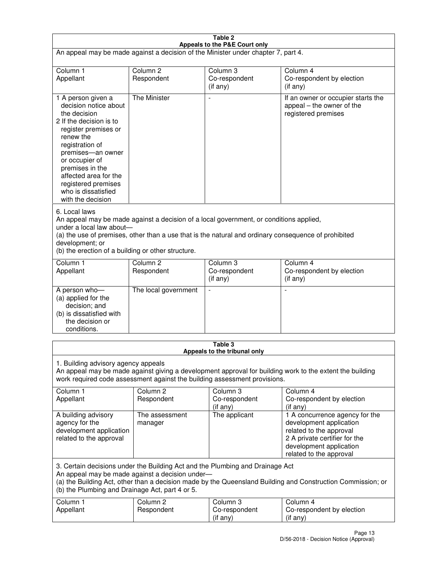| Table 2<br>Appeals to the P&E Court only                                                                                                                                                                                                                                                             |                                                                                                                                                                                                                                                                                  |                                       |                                                                                                                                                                             |  |  |
|------------------------------------------------------------------------------------------------------------------------------------------------------------------------------------------------------------------------------------------------------------------------------------------------------|----------------------------------------------------------------------------------------------------------------------------------------------------------------------------------------------------------------------------------------------------------------------------------|---------------------------------------|-----------------------------------------------------------------------------------------------------------------------------------------------------------------------------|--|--|
| An appeal may be made against a decision of the Minister under chapter 7, part 4.                                                                                                                                                                                                                    |                                                                                                                                                                                                                                                                                  |                                       |                                                                                                                                                                             |  |  |
|                                                                                                                                                                                                                                                                                                      |                                                                                                                                                                                                                                                                                  |                                       |                                                                                                                                                                             |  |  |
| Column 1<br>Appellant                                                                                                                                                                                                                                                                                | Column <sub>2</sub><br>Respondent                                                                                                                                                                                                                                                | Column <sub>3</sub><br>Co-respondent  | Column <sub>4</sub><br>Co-respondent by election                                                                                                                            |  |  |
|                                                                                                                                                                                                                                                                                                      |                                                                                                                                                                                                                                                                                  | (if any)                              | (if any)                                                                                                                                                                    |  |  |
| 1 A person given a<br>decision notice about<br>the decision<br>2 If the decision is to<br>register premises or<br>renew the<br>registration of<br>premises-an owner<br>or occupier of<br>premises in the<br>affected area for the<br>registered premises<br>who is dissatisfied<br>with the decision | <b>The Minister</b>                                                                                                                                                                                                                                                              |                                       | If an owner or occupier starts the<br>appeal – the owner of the<br>registered premises                                                                                      |  |  |
| 6. Local laws<br>development; or                                                                                                                                                                                                                                                                     | An appeal may be made against a decision of a local government, or conditions applied,<br>under a local law about-<br>(a) the use of premises, other than a use that is the natural and ordinary consequence of prohibited<br>(b) the erection of a building or other structure. |                                       |                                                                                                                                                                             |  |  |
| Column 1                                                                                                                                                                                                                                                                                             | Column <sub>2</sub>                                                                                                                                                                                                                                                              | Column 3                              | Column $\overline{4}$                                                                                                                                                       |  |  |
| Appellant                                                                                                                                                                                                                                                                                            | Respondent                                                                                                                                                                                                                                                                       | Co-respondent<br>(if any)             | Co-respondent by election<br>(if any)                                                                                                                                       |  |  |
| A person who-<br>(a) applied for the<br>decision; and<br>(b) is dissatisfied with<br>the decision or<br>conditions.                                                                                                                                                                                  | The local government                                                                                                                                                                                                                                                             |                                       |                                                                                                                                                                             |  |  |
| Table 3                                                                                                                                                                                                                                                                                              |                                                                                                                                                                                                                                                                                  |                                       |                                                                                                                                                                             |  |  |
| Appeals to the tribunal only<br>1. Building advisory agency appeals<br>An appeal may be made against giving a development approval for building work to the extent the building<br>work required code assessment against the building assessment provisions.                                         |                                                                                                                                                                                                                                                                                  |                                       |                                                                                                                                                                             |  |  |
| Column 1<br>Appellant                                                                                                                                                                                                                                                                                | Column <sub>2</sub><br>Respondent                                                                                                                                                                                                                                                | Column 3<br>Co-respondent<br>(if any) | Column 4<br>Co-respondent by election<br>(if any)                                                                                                                           |  |  |
| A building advisory<br>agency for the<br>development application<br>related to the approval                                                                                                                                                                                                          | The assessment<br>manager                                                                                                                                                                                                                                                        | The applicant                         | 1 A concurrence agency for the<br>development application<br>related to the approval<br>2 A private certifier for the<br>development application<br>related to the approval |  |  |
| 3. Certain decisions under the Building Act and the Plumbing and Drainage Act<br>An appeal may be made against a decision under-<br>(a) the Building Act, other than a decision made by the Queensland Building and Construction Commission; or<br>(b) the Plumbing and Drainage Act, part 4 or 5.   |                                                                                                                                                                                                                                                                                  |                                       |                                                                                                                                                                             |  |  |
| Column 1<br>Appellant                                                                                                                                                                                                                                                                                | Column <sub>2</sub><br>Respondent                                                                                                                                                                                                                                                | Column 3<br>Co-respondent<br>(if any) | Column 4<br>Co-respondent by election<br>(if any)                                                                                                                           |  |  |